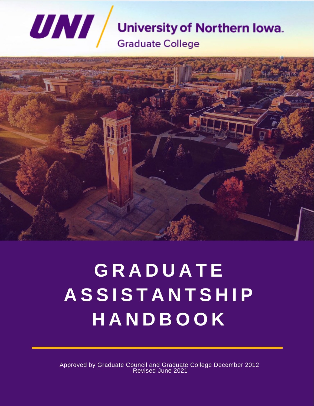# **UNI University of Northern Iowa. Graduate College**



# GRADUATE **ASSISTANTSHIP** HANDBOOK

Approved by Graduate Council and Graduate College December 2012<br>Revised June 2021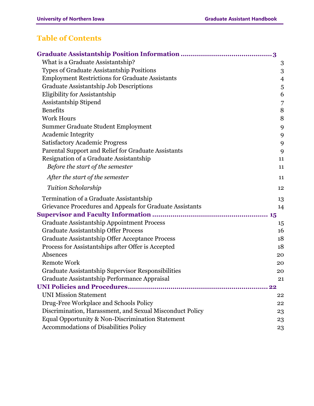# <span id="page-1-0"></span>**Table of Contents**

| What is a Graduate Assistantship?                        | 3              |
|----------------------------------------------------------|----------------|
| Types of Graduate Assistantship Positions                | 3              |
| <b>Employment Restrictions for Graduate Assistants</b>   | $\overline{4}$ |
| Graduate Assistantship Job Descriptions                  | 5              |
| Eligibility for Assistantship                            | 6              |
| Assistantship Stipend                                    | $\overline{7}$ |
| <b>Benefits</b>                                          | 8              |
| <b>Work Hours</b>                                        | 8              |
| Summer Graduate Student Employment                       | 9              |
| <b>Academic Integrity</b>                                | 9              |
| <b>Satisfactory Academic Progress</b>                    | 9              |
| Parental Support and Relief for Graduate Assistants      | 9              |
| Resignation of a Graduate Assistantship                  | 11             |
| Before the start of the semester                         | 11             |
| After the start of the semester                          | 11             |
| <b>Tuition Scholarship</b>                               | 12             |
| Termination of a Graduate Assistantship                  | 13             |
| Grievance Procedures and Appeals for Graduate Assistants | 14             |
|                                                          |                |
| <b>Graduate Assistantship Appointment Process</b>        | 15             |
| <b>Graduate Assistantship Offer Process</b>              | 16             |
| Graduate Assistantship Offer Acceptance Process          | 18             |
| Process for Assistantships after Offer is Accepted       | 18             |
| Absences                                                 | 20             |
| Remote Work                                              | 20             |
| Graduate Assistantship Supervisor Responsibilities       | 20             |
| Graduate Assistantship Performance Appraisal             | 21             |
|                                                          | 22             |
| <b>UNI Mission Statement</b>                             | 22             |
| Drug-Free Workplace and Schools Policy                   | 22             |
| Discrimination, Harassment, and Sexual Misconduct Policy | 23             |
| Equal Opportunity & Non-Discrimination Statement         | 23             |
| <b>Accommodations of Disabilities Policy</b>             | 23             |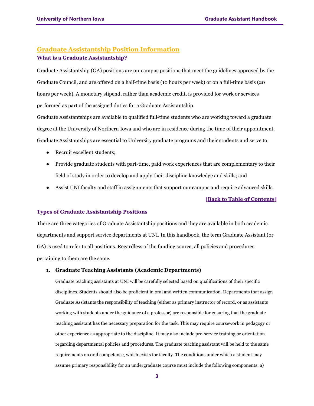## <span id="page-2-1"></span><span id="page-2-0"></span>**Graduate Assistantship Position Information What is a Graduate Assistantship?**

Graduate Assistantship (GA) positions are on-campus positions that meet the guidelines approved by the Graduate Council, and are offered on a half-time basis (10 hours per week) or on a full-time basis (20 hours per week). A monetary stipend, rather than academic credit, is provided for work or services performed as part of the assigned duties for a Graduate Assistantship.

Graduate Assistantships are available to qualified full-time students who are working toward a graduate degree at the University of Northern Iowa and who are in residence during the time of their appointment. Graduate Assistantships are essential to University graduate programs and their students and serve to:

- Recruit excellent students;
- Provide graduate students with part-time, paid work experiences that are complementary to their field of study in order to develop and apply their discipline knowledge and skills; and
- Assist UNI faculty and staff in assignments that support our campus and require advanced skills.

#### **[\[Back to Table of Contents\]](#page-1-0)**

#### <span id="page-2-2"></span>**Types of Graduate Assistantship Positions**

There are three categories of Graduate Assistantship positions and they are available in both academic departments and support service departments at UNI. In this handbook, the term Graduate Assistant (or GA) is used to refer to all positions. Regardless of the funding source, all policies and procedures pertaining to them are the same.

#### **1. Graduate Teaching Assistants (Academic Departments)**

Graduate teaching assistants at UNI will be carefully selected based on qualifications of their specific disciplines. Students should also be proficient in oral and written communication. Departments that assign Graduate Assistants the responsibility of teaching (either as primary instructor of record, or as assistants working with students under the guidance of a professor) are responsible for ensuring that the graduate teaching assistant has the necessary preparation for the task. This may require coursework in pedagogy or other experience as appropriate to the discipline. It may also include pre-service training or orientation regarding departmental policies and procedures. The graduate teaching assistant will be held to the same requirements on oral competence, which exists for faculty. The conditions under which a student may assume primary responsibility for an undergraduate course must include the following components: a)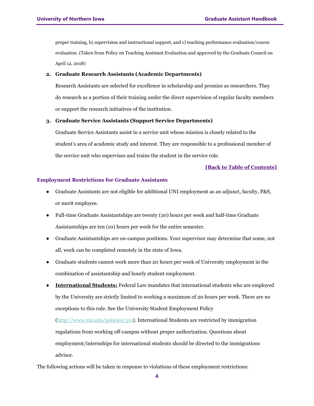proper training, b) supervision and instructional support, and c) teaching performance evaluation/course evaluation. (Taken from Policy on Teaching Assistant Evaluation and approved by the Graduate Council on April 12, 2018)

#### **2. Graduate Research Assistants (Academic Departments)**

Research Assistants are selected for excellence in scholarship and promise as researchers. They do research as a portion of their training under the direct supervision of regular faculty members or support the research initiatives of the institution.

#### **3. Graduate Service Assistants (Support Service Departments)**

Graduate Service Assistants assist in a service unit whose mission is closely related to the student's area of academic study and interest. They are responsible to a professional member of the service unit who supervises and trains the student in the service role.

#### **[\[Back to Table of Contents\]](#page-1-0)**

#### <span id="page-3-0"></span>**Employment Restrictions for Graduate Assistants**

- Graduate Assistants are not eligible for additional UNI employment as an adjunct, faculty, P&S, or merit employee.
- Full-time Graduate Assistantships are twenty (20) hours per week and half-time Graduate Assistantships are ten (10) hours per week for the entire semester.
- Graduate Assistantships are on-campus positions. Your supervisor may determine that some, not all, work can be completed remotely in the state of Iowa.
- Graduate students cannot work more than 20 hours per week of University employment in the combination of assistantship and hourly student employment.
- **International Students:** Federal Law mandates that international students who are employed by the University are strictly limited to working a maximum of 20 hours per week. There are no exceptions to this rule. See the University Student Employment Policy

[\(http://www.uni.edu/policies/319\)](http://www.uni.edu/policies/319). International Students are restricted by immigration regulations from working off-campus without proper authorization. Questions about employment/internships for international students should be directed to the immigrations advisor.

The following actions will be taken in response to violations of these employment restrictions: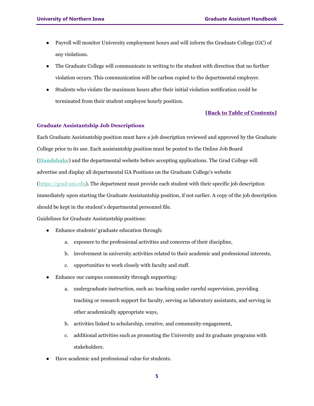- Payroll will monitor University employment hours and will inform the Graduate College (GC) of any violations.
- The Graduate College will communicate in writing to the student with direction that no further violation occurs. This communication will be carbon copied to the departmental employer.
- Students who violate the maximum hours after their initial violation notification could be terminated from their student employee hourly position.

#### <span id="page-4-0"></span>**Graduate Assistantship Job Descriptions**

Each Graduate Assistantship position must have a job description reviewed and approved by the Graduate College prior to its use. Each assistantship position must be posted to the Online Job Board (**[Handshake](https://uni.joinhandshake.com/login)**) and the departmental website before accepting applications. The Grad College will advertise and display all departmental GA Positions on the Graduate College's website [\(https://grad.uni.edu\)](https://grad.uni.edu/). The department must provide each student with their specific job description immediately upon starting the Graduate Assistantship position, if not earlier. A copy of the job description should be kept in the student's departmental personnel file.

Guidelines for Graduate Assistantship positions:

- Enhance students' graduate education through:
	- a. exposure to the professional activities and concerns of their discipline,
	- b. involvement in university activities related to their academic and professional interests,
	- c. opportunities to work closely with faculty and staff.
- Enhance our campus community through supporting:
	- a. undergraduate instruction, such as: teaching under careful supervision, providing teaching or research support for faculty, serving as laboratory assistants, and serving in other academically appropriate ways,
	- b. activities linked to scholarship, creative, and community-engagement,
	- c. additional activities such as promoting the University and its graduate programs with stakeholders.
- Have academic and professional value for students.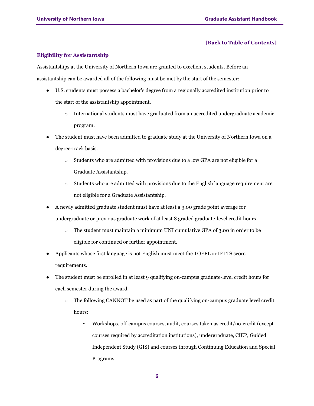#### <span id="page-5-0"></span>**Eligibility for Assistantship**

Assistantships at the University of Northern Iowa are granted to excellent students. Before an assistantship can be awarded all of the following must be met by the start of the semester:

- U.S. students must possess a bachelor's degree from a regionally accredited institution prior to the start of the assistantship appointment.
	- o International students must have graduated from an accredited undergraduate academic program.
- The student must have been admitted to graduate study at the University of Northern Iowa on a degree-track basis.
	- o Students who are admitted with provisions due to a low GPA are not eligible for a Graduate Assistantship.
	- $\circ$  Students who are admitted with provisions due to the English language requirement are not eligible for a Graduate Assistantship.
- A newly admitted graduate student must have at least a 3.00 grade point average for undergraduate or previous graduate work of at least 8 graded graduate-level credit hours.
	- o The student must maintain a minimum UNI cumulative GPA of 3.00 in order to be eligible for continued or further appointment.
- Applicants whose first language is not English must meet the TOEFL or IELTS score requirements.
- The student must be enrolled in at least 9 qualifying on-campus graduate-level credit hours for each semester during the award.
	- o The following CANNOT be used as part of the qualifying on-campus graduate level credit hours:
		- Workshops, off-campus courses, audit, courses taken as credit/no-credit (except courses required by accreditation institutions), undergraduate, CIEP, Guided Independent Study (GIS) and courses through Continuing Education and Special Programs.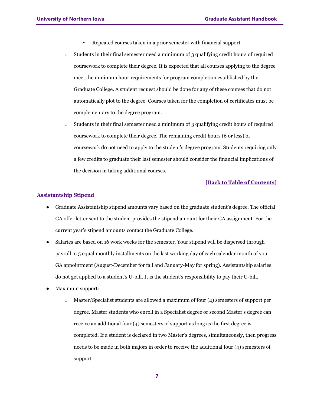- Repeated courses taken in a prior semester with financial support.
- $\circ$  Students in their final semester need a minimum of 3 qualifying credit hours of required coursework to complete their degree. It is expected that all courses applying to the degree meet the minimum hour requirements for program completion established by the Graduate College. A student request should be done for any of these courses that do not automatically plot to the degree. Courses taken for the completion of certificates must be complementary to the degree program.
- $\circ$  Students in their final semester need a minimum of 3 qualifying credit hours of required coursework to complete their degree. The remaining credit hours (6 or less) of coursework do not need to apply to the student's degree program. Students requiring only a few credits to graduate their last semester should consider the financial implications of the decision in taking additional courses.

#### <span id="page-6-0"></span>**Assistantship Stipend**

- Graduate Assistantship stipend amounts vary based on the graduate student's degree. The official GA offer letter sent to the student provides the stipend amount for their GA assignment. For the current year's stipend amounts contact the Graduate College.
- Salaries are based on 16 work weeks for the semester. Your stipend will be dispersed through payroll in 5 equal monthly installments on the last working day of each calendar month of your GA appointment (August-December for fall and January-May for spring). Assistantship salaries do not get applied to a student's U-bill. It is the student's responsibility to pay their U-bill.
- Maximum support:
	- $\circ$  Master/Specialist students are allowed a maximum of four (4) semesters of support per degree. Master students who enroll in a Specialist degree or second Master's degree can receive an additional four (4) semesters of support as long as the first degree is completed. If a student is declared in two Master's degrees, simultaneously, then progress needs to be made in both majors in order to receive the additional four (4) semesters of support.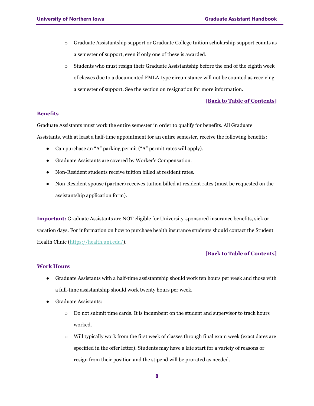- o Graduate Assistantship support or Graduate College tuition scholarship support counts as a semester of support, even if only one of these is awarded.
- $\circ$  Students who must resign their Graduate Assistantship before the end of the eighth week of classes due to a documented FMLA-type circumstance will not be counted as receiving a semester of support. See the section on resignation for more information.

#### <span id="page-7-0"></span>**Benefits**

Graduate Assistants must work the entire semester in order to qualify for benefits. All Graduate Assistants, with at least a half-time appointment for an entire semester, receive the following benefits:

- Can purchase an "A" parking permit ("A" permit rates will apply).
- Graduate Assistants are covered by Worker's Compensation.
- Non-Resident students receive tuition billed at resident rates.
- Non-Resident spouse (partner) receives tuition billed at resident rates (must be requested on the assistantship application form).

**Important:** Graduate Assistants are NOT eligible for University-sponsored insurance benefits, sick or vacation days. For information on how to purchase health insurance students should contact the Student Health Clinic (https://health.uni.edu/).

#### **[\[Back to Table of Contents\]](#page-1-0)**

#### <span id="page-7-1"></span>**Work Hours**

- Graduate Assistants with a half-time assistantship should work ten hours per week and those with a full-time assistantship should work twenty hours per week.
- Graduate Assistants:
	- o Do not submit time cards. It is incumbent on the student and supervisor to track hours worked.
	- $\circ$  Will typically work from the first week of classes through final exam week (exact dates are specified in the offer letter). Students may have a late start for a variety of reasons or resign from their position and the stipend will be prorated as needed.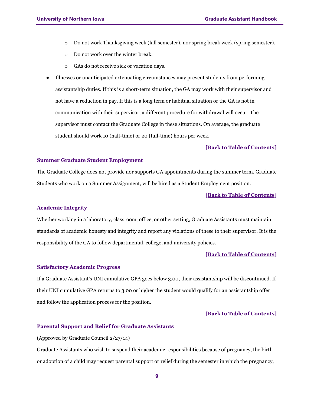- o Do not work Thanksgiving week (fall semester), nor spring break week (spring semester).
- o Do not work over the winter break.
- o GAs do not receive sick or vacation days.
- Illnesses or unanticipated extenuating circumstances may prevent students from performing assistantship duties. If this is a short-term situation, the GA may work with their supervisor and not have a reduction in pay. If this is a long term or habitual situation or the GA is not in communication with their supervisor, a different procedure for withdrawal will occur. The supervisor must contact the Graduate College in these situations. On average, the graduate student should work 10 (half-time) or 20 (full-time) hours per week.

#### <span id="page-8-0"></span>**Summer Graduate Student Employment**

The Graduate College does not provide nor supports GA appointments during the summer term. Graduate Students who work on a Summer Assignment, will be hired as a Student Employment position.

#### **[\[Back to Table of Contents\]](#page-1-0)**

#### <span id="page-8-1"></span>**Academic Integrity**

Whether working in a laboratory, classroom, office, or other setting, Graduate Assistants must maintain standards of academic honesty and integrity and report any violations of these to their supervisor. It is the responsibility of the GA to follow departmental, college, and university policies.

#### **[\[Back to Table of Contents\]](#page-1-0)**

#### <span id="page-8-2"></span>**Satisfactory Academic Progress**

If a Graduate Assistant's UNI cumulative GPA goes below 3.00, their assistantship will be discontinued. If their UNI cumulative GPA returns to 3.00 or higher the student would qualify for an assistantship offer and follow the application process for the position.

#### **[\[Back to Table of Contents\]](#page-1-0)**

#### <span id="page-8-3"></span>**Parental Support and Relief for Graduate Assistants**

(Approved by Graduate Council 2/27/14)

Graduate Assistants who wish to suspend their academic responsibilities because of pregnancy, the birth or adoption of a child may request parental support or relief during the semester in which the pregnancy,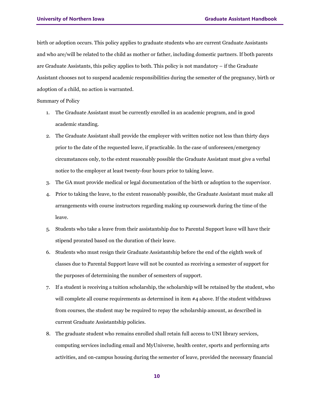birth or adoption occurs. This policy applies to graduate students who are current Graduate Assistants and who are/will be related to the child as mother or father, including domestic partners. If both parents are Graduate Assistants, this policy applies to both. This policy is not mandatory – if the Graduate Assistant chooses not to suspend academic responsibilities during the semester of the pregnancy, birth or adoption of a child, no action is warranted.

Summary of Policy

- 1. The Graduate Assistant must be currently enrolled in an academic program, and in good academic standing.
- 2. The Graduate Assistant shall provide the employer with written notice not less than thirty days prior to the date of the requested leave, if practicable. In the case of unforeseen/emergency circumstances only, to the extent reasonably possible the Graduate Assistant must give a verbal notice to the employer at least twenty-four hours prior to taking leave.
- 3. The GA must provide medical or legal documentation of the birth or adoption to the supervisor.
- 4. Prior to taking the leave, to the extent reasonably possible, the Graduate Assistant must make all arrangements with course instructors regarding making up coursework during the time of the leave.
- 5. Students who take a leave from their assistantship due to Parental Support leave will have their stipend prorated based on the duration of their leave.
- 6. Students who must resign their Graduate Assistantship before the end of the eighth week of classes due to Parental Support leave will not be counted as receiving a semester of support for the purposes of determining the number of semesters of support.
- 7. If a student is receiving a tuition scholarship, the scholarship will be retained by the student, who will complete all course requirements as determined in item #4 above. If the student withdraws from courses, the student may be required to repay the scholarship amount, as described in current Graduate Assistantship policies.
- 8. The graduate student who remains enrolled shall retain full access to UNI library services, computing services including email and MyUniverse, health center, sports and performing arts activities, and on-campus housing during the semester of leave, provided the necessary financial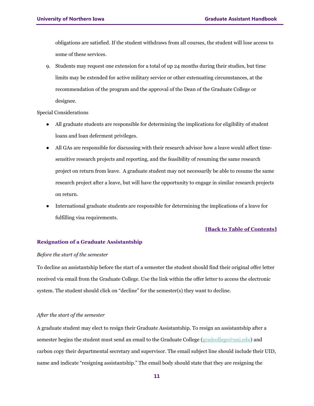obligations are satisfied. If the student withdraws from all courses, the student will lose access to some of these services.

9. Students may request one extension for a total of up 24 months during their studies, but time limits may be extended for active military service or other extenuating circumstances, at the recommendation of the program and the approval of the Dean of the Graduate College or designee.

#### Special Considerations

- All graduate students are responsible for determining the implications for eligibility of student loans and loan deferment privileges.
- All GAs are responsible for discussing with their research advisor how a leave would affect timesensitive research projects and reporting, and the feasibility of resuming the same research project on return from leave. A graduate student may not necessarily be able to resume the same research project after a leave, but will have the opportunity to engage in similar research projects on return.
- International graduate students are responsible for determining the implications of a leave for fulfilling visa requirements.

#### **[\[Back to Table of Contents\]](#page-1-0)**

#### <span id="page-10-0"></span>**Resignation of a Graduate Assistantship**

#### <span id="page-10-1"></span>*Before the start of the semester*

To decline an assistantship before the start of a semester the student should find their original offer letter received via email from the Graduate College. Use the link within the offer letter to access the electronic system. The student should click on "decline" for the semester(s) they want to decline.

#### <span id="page-10-2"></span>*After the start of the semester*

A graduate student may elect to resign their Graduate Assistantship. To resign an assistantship after a semester begins the student must send an email to the Graduate College [\(gradcollege@uni.edu\)](about:blank) and carbon copy their departmental secretary and supervisor. The email subject line should include their UID, name and indicate "resigning assistantship." The email body should state that they are resigning the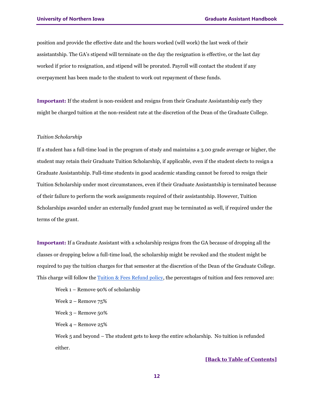position and provide the effective date and the hours worked (will work) the last week of their assistantship. The GA's stipend will terminate on the day the resignation is effective, or the last day worked if prior to resignation, and stipend will be prorated. Payroll will contact the student if any overpayment has been made to the student to work out repayment of these funds.

**Important:** If the student is non-resident and resigns from their Graduate Assistantship early they might be charged tuition at the non-resident rate at the discretion of the Dean of the Graduate College.

#### <span id="page-11-0"></span>*Tuition Scholarship*

If a student has a full-time load in the program of study and maintains a 3.00 grade average or higher, the student may retain their Graduate Tuition Scholarship, if applicable, even if the student elects to resign a Graduate Assistantship. Full-time students in good academic standing cannot be forced to resign their Tuition Scholarship under most circumstances, even if their Graduate Assistantship is terminated because of their failure to perform the work assignments required of their assistantship. However, Tuition Scholarships awarded under an externally funded grant may be terminated as well, if required under the terms of the grant.

**Important:** If a Graduate Assistant with a scholarship resigns from the GA because of dropping all the classes or dropping below a full-time load, the scholarship might be revoked and the student might be required to pay the tuition charges for that semester at the discretion of the Dean of the Graduate College. This charge will follow the  $T$ uition  $\&$  Fees Refund policy, the percentages of tuition and fees removed are:

Week 1 – Remove 90% of scholarship Week 2 – Remove 75% Week 3 – Remove 50% Week 4 – Remove 25% Week 5 and beyond – The student gets to keep the entire scholarship. No tuition is refunded

either.

**[\[Back to Table of Contents\]](#page-1-0)**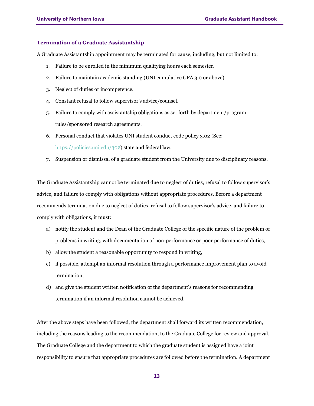#### <span id="page-12-0"></span>**Termination of a Graduate Assistantship**

A Graduate Assistantship appointment may be terminated for cause, including, but not limited to:

- 1. Failure to be enrolled in the minimum qualifying hours each semester.
- 2. Failure to maintain academic standing (UNI cumulative GPA 3.0 or above).
- 3. Neglect of duties or incompetence.
- 4. Constant refusal to follow supervisor's advice/counsel.
- 5. Failure to comply with assistantship obligations as set forth by department/program rules/sponsored research agreements.
- 6. Personal conduct that violates UNI student conduct code policy 3.02 (See: https://policies.uni.edu/302) state and federal law.
- 7. Suspension or dismissal of a graduate student from the University due to disciplinary reasons.

The Graduate Assistantship cannot be terminated due to neglect of duties, refusal to follow supervisor's advice, and failure to comply with obligations without appropriate procedures. Before a department recommends termination due to neglect of duties, refusal to follow supervisor's advice, and failure to comply with obligations, it must:

- a) notify the student and the Dean of the Graduate College of the specific nature of the problem or problems in writing, with documentation of non-performance or poor performance of duties,
- b) allow the student a reasonable opportunity to respond in writing,
- c) if possible, attempt an informal resolution through a performance improvement plan to avoid termination,
- d) and give the student written notification of the department's reasons for recommending termination if an informal resolution cannot be achieved.

After the above steps have been followed, the department shall forward its written recommendation, including the reasons leading to the recommendation, to the Graduate College for review and approval. The Graduate College and the department to which the graduate student is assigned have a joint responsibility to ensure that appropriate procedures are followed before the termination. A department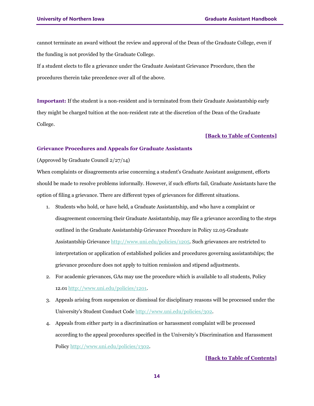cannot terminate an award without the review and approval of the Dean of the Graduate College, even if the funding is not provided by the Graduate College.

If a student elects to file a grievance under the Graduate Assistant Grievance Procedure, then the procedures therein take precedence over all of the above.

**Important:** If the student is a non-resident and is terminated from their Graduate Assistantship early they might be charged tuition at the non-resident rate at the discretion of the Dean of the Graduate College.

#### **[Back to Table of Contents]**

#### <span id="page-13-0"></span>**Grievance Procedures and Appeals for Graduate Assistants**

#### (Approved by Graduate Council 2/27/14)

When complaints or disagreements arise concerning a student's Graduate Assistant assignment, efforts should be made to resolve problems informally. However, if such efforts fail, Graduate Assistants have the option of filing a grievance. There are different types of grievances for different situations.

- 1. Students who hold, or have held, a Graduate Assistantship, and who have a complaint or disagreement concerning their Graduate Assistantship, may file a grievance according to the steps outlined in the Graduate Assistantship Grievance Procedure in Policy 12.05-Graduate Assistantship Grievance [http://www.uni.edu/policies/1205.](http://www.uni.edu/policies/1205) Such grievances are restricted to interpretation or application of established policies and procedures governing assistantships; the grievance procedure does not apply to tuition remission and stipend adjustments.
- 2. For academic grievances, GAs may use the procedure which is available to all students, Policy 12.01 [http://www.uni.edu/policies/1201.](http://www.uni.edu/policies/1201)
- 3. Appeals arising from suspension or dismissal for disciplinary reasons will be processed under the University's Student Conduct Code [http://www.uni.edu/policies/302.](http://www.uni.edu/policies/302)
- 4. Appeals from either party in a discrimination or harassment complaint will be processed according to the appeal procedures specified in the University's Discrimination and Harassment Policy [http://www.uni.edu/policies/1302.](http://www.uni.edu/policies/1302)

#### **[Back to Table of Contents]**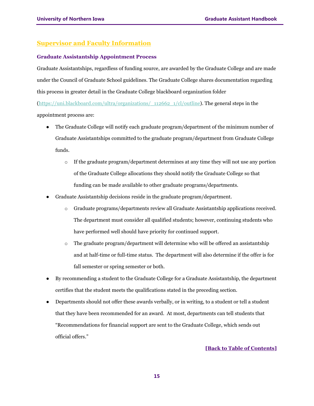# <span id="page-14-0"></span>**Supervisor and Faculty Information**

#### <span id="page-14-1"></span>**Graduate Assistantship Appointment Process**

Graduate Assistantships, regardless of funding source, are awarded by the Graduate College and are made under the Council of Graduate School guidelines. The Graduate College shares documentation regarding this process in greater detail in the Graduate College blackboard organization folder

(https://uni.blackboard.com/ultra/organizations/\_112662\_1/cl/outline). The general steps in the appointment process are:

- The Graduate College will notify each graduate program/department of the minimum number of Graduate Assistantships committed to the graduate program/department from Graduate College funds.
	- $\circ$  If the graduate program/department determines at any time they will not use any portion of the Graduate College allocations they should notify the Graduate College so that funding can be made available to other graduate programs/departments.
- Graduate Assistantship decisions reside in the graduate program/department.
	- o Graduate programs/departments review all Graduate Assistantship applications received. The department must consider all qualified students; however, continuing students who have performed well should have priority for continued support.
	- $\circ$  The graduate program/department will determine who will be offered an assistantship and at half-time or full-time status. The department will also determine if the offer is for fall semester or spring semester or both.
- By recommending a student to the Graduate College for a Graduate Assistantship, the department certifies that the student meets the qualifications stated in the preceding section.
- Departments should not offer these awards verbally, or in writing, to a student or tell a student that they have been recommended for an award. At most, departments can tell students that "Recommendations for financial support are sent to the Graduate College, which sends out official offers."

#### **[\[Back to Table of Contents\]](#page-1-0)**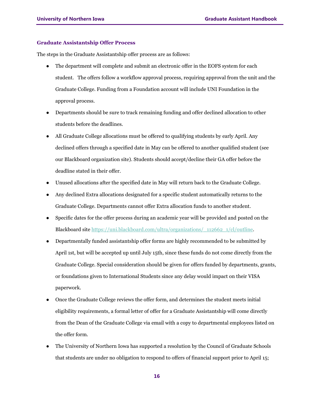#### <span id="page-15-0"></span>**Graduate Assistantship Offer Process**

The steps in the Graduate Assistantship offer process are as follows:

- The department will complete and submit an electronic offer in the EOFS system for each student. The offers follow a workflow approval process, requiring approval from the unit and the Graduate College. Funding from a Foundation account will include UNI Foundation in the approval process.
- Departments should be sure to track remaining funding and offer declined allocation to other students before the deadlines.
- All Graduate College allocations must be offered to qualifying students by early April. Any declined offers through a specified date in May can be offered to another qualified student (see our Blackboard organization site). Students should accept/decline their GA offer before the deadline stated in their offer.
- Unused allocations after the specified date in May will return back to the Graduate College.
- Any declined Extra allocations designated for a specific student automatically returns to the Graduate College. Departments cannot offer Extra allocation funds to another student.
- Specific dates for the offer process during an academic year will be provided and posted on the Blackboard sit[e https://uni.blackboard.com/ultra/organizations/\\_112662\\_1/cl/outline.](https://uni.blackboard.com/ultra/organizations/_112662_1/cl/outline)
- Departmentally funded assistantship offer forms are highly recommended to be submitted by April 1st, but will be accepted up until July 15th, since these funds do not come directly from the Graduate College. Special consideration should be given for offers funded by departments, grants, or foundations given to International Students since any delay would impact on their VISA paperwork.
- Once the Graduate College reviews the offer form, and determines the student meets initial eligibility requirements, a formal letter of offer for a Graduate Assistantship will come directly from the Dean of the Graduate College via email with a copy to departmental employees listed on the offer form.
- The University of Northern Iowa has supported a resolution by the Council of Graduate Schools that students are under no obligation to respond to offers of financial support prior to April 15;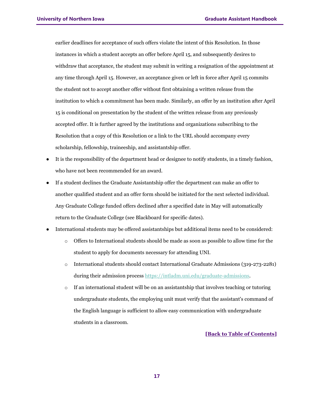earlier deadlines for acceptance of such offers violate the intent of this Resolution. In those instances in which a student accepts an offer before April 15, and subsequently desires to withdraw that acceptance, the student may submit in writing a resignation of the appointment at any time through April 15. However, an acceptance given or left in force after April 15 commits the student not to accept another offer without first obtaining a written release from the institution to which a commitment has been made. Similarly, an offer by an institution after April 15 is conditional on presentation by the student of the written release from any previously accepted offer. It is further agreed by the institutions and organizations subscribing to the Resolution that a copy of this Resolution or a link to the URL should accompany every scholarship, fellowship, traineeship, and assistantship offer.

- It is the responsibility of the department head or designee to notify students, in a timely fashion, who have not been recommended for an award.
- If a student declines the Graduate Assistantship offer the department can make an offer to another qualified student and an offer form should be initiated for the next selected individual. Any Graduate College funded offers declined after a specified date in May will automatically return to the Graduate College (see Blackboard for specific dates).
- International students may be offered assistantships but additional items need to be considered:
	- o Offers to International students should be made as soon as possible to allow time for the student to apply for documents necessary for attending UNI.
	- o International students should contact International Graduate Admissions (319-273-2281) during their admission process https://intladm.uni.edu/graduate-admissions.
	- $\circ$  If an international student will be on an assistantship that involves teaching or tutoring undergraduate students, the employing unit must verify that the assistant's command of the English language is sufficient to allow easy communication with undergraduate students in a classroom.

#### **[\[Back to Table of Contents\]](#page-1-0)**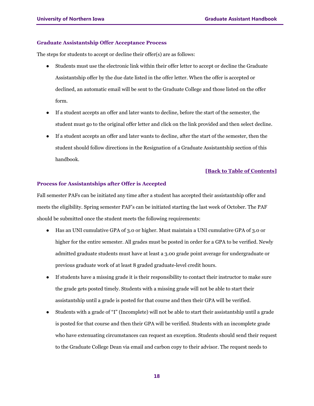#### <span id="page-17-0"></span>**Graduate Assistantship Offer Acceptance Process**

The steps for students to accept or decline their offer(s) are as follows:

- Students must use the electronic link within their offer letter to accept or decline the Graduate Assistantship offer by the due date listed in the offer letter. When the offer is accepted or declined, an automatic email will be sent to the Graduate College and those listed on the offer form.
- If a student accepts an offer and later wants to decline, before the start of the semester, the student must go to the original offer letter and click on the link provided and then select decline.
- If a student accepts an offer and later wants to decline, after the start of the semester, then the student should follow directions in the Resignation of a Graduate Assistantship section of this handbook.

#### **[\[Back to Table of Contents\]](#page-1-0)**

#### <span id="page-17-1"></span>**Process for Assistantships after Offer is Accepted**

Fall semester PAFs can be initiated any time after a student has accepted their assistantship offer and meets the eligibility. Spring semester PAF's can be initiated starting the last week of October. The PAF should be submitted once the student meets the following requirements:

- Has an UNI cumulative GPA of 3.0 or higher. Must maintain a UNI cumulative GPA of 3.0 or higher for the entire semester. All grades must be posted in order for a GPA to be verified. Newly admitted graduate students must have at least a 3.00 grade point average for undergraduate or previous graduate work of at least 8 graded graduate-level credit hours.
- If students have a missing grade it is their responsibility to contact their instructor to make sure the grade gets posted timely. Students with a missing grade will not be able to start their assistantship until a grade is posted for that course and then their GPA will be verified.
- Students with a grade of "I" (Incomplete) will not be able to start their assistantship until a grade is posted for that course and then their GPA will be verified. Students with an incomplete grade who have extenuating circumstances can request an exception. Students should send their request to the Graduate College Dean via email and carbon copy to their advisor. The request needs to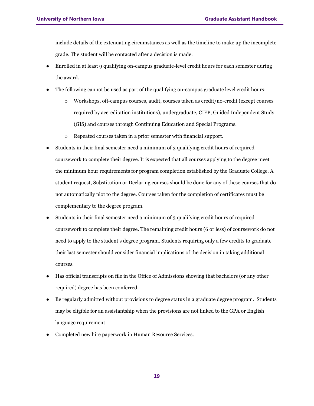include details of the extenuating circumstances as well as the timeline to make up the incomplete grade. The student will be contacted after a decision is made.

- Enrolled in at least 9 qualifying on-campus graduate-level credit hours for each semester during the award.
- The following cannot be used as part of the qualifying on-campus graduate level credit hours:
	- o Workshops, off-campus courses, audit, courses taken as credit/no-credit (except courses required by accreditation institutions), undergraduate, CIEP, Guided Independent Study (GIS) and courses through Continuing Education and Special Programs.
	- o Repeated courses taken in a prior semester with financial support.
- Students in their final semester need a minimum of 3 qualifying credit hours of required coursework to complete their degree. It is expected that all courses applying to the degree meet the minimum hour requirements for program completion established by the Graduate College. A student request, Substitution or Declaring courses should be done for any of these courses that do not automatically plot to the degree. Courses taken for the completion of certificates must be complementary to the degree program.
- Students in their final semester need a minimum of 3 qualifying credit hours of required coursework to complete their degree. The remaining credit hours (6 or less) of coursework do not need to apply to the student's degree program. Students requiring only a few credits to graduate their last semester should consider financial implications of the decision in taking additional courses.
- Has official transcripts on file in the Office of Admissions showing that bachelors (or any other required) degree has been conferred.
- Be regularly admitted without provisions to degree status in a graduate degree program. Students may be eligible for an assistantship when the provisions are not linked to the GPA or English language requirement
- Completed new hire paperwork in Human Resource Services.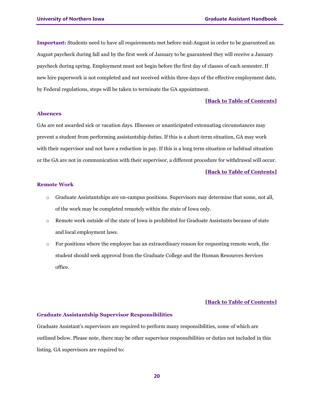**Important:** Students need to have all requirements met before mid-August in order to be guaranteed an August paycheck during fall and by the first week of January to be guaranteed they will receive a January paycheck during spring. Employment must not begin before the first day of classes of each semester. If new hire paperwork is not completed and not received within three days of the effective employment date, by Federal regulations, steps will be taken to terminate the GA appointment.

#### **[\[Back to Table of Contents\]](#page-1-0)**

#### <span id="page-19-0"></span>**Absences**

GAs are not awarded sick or vacation days. Illnesses or unanticipated extenuating circumstances may prevent a student from performing assistantship duties. If this is a short-term situation, GA may work with their supervisor and not have a reduction in pay. If this is a long term situation or habitual situation or the GA are not in communication with their supervisor, a different procedure for withdrawal will occur.

#### **[\[Back to Table of Contents\]](#page-1-0)**

#### <span id="page-19-1"></span>**Remote Work**

- $\circ$  Graduate Assistantships are on-campus positions. Supervisors may determine that some, not all, of the work may be completed remotely within the state of Iowa only.
- o Remote work outside of the state of Iowa is prohibited for Graduate Assistants because of state and local employment laws.
- $\circ$  For positions where the employee has an extraordinary reason for requesting remote work, the student should seek approval from the Graduate College and the Human Resources Services office.

#### **[\[Back to Table of Contents\]](#page-1-0)**

#### <span id="page-19-2"></span>**Graduate Assistantship Supervisor Responsibilities**

Graduate Assistant's supervisors are required to perform many responsibilities, some of which are outlined below. Please note, there may be other supervisor responsibilities or duties not included in this listing. GA supervisors are required to: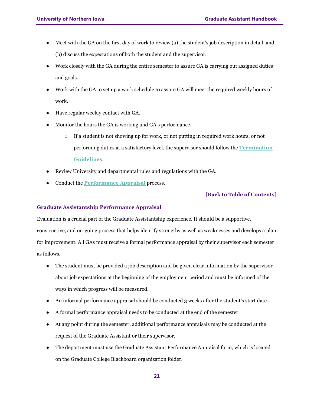- Meet with the GA on the first day of work to review (a) the student's job description in detail, and (b) discuss the expectations of both the student and the supervisor.
- Work closely with the GA during the entire semester to assure GA is carrying out assigned duties and goals.
- Work with the GA to set up a work schedule to assure GA will meet the required weekly hours of work.
- Have regular weekly contact with GA.
- Monitor the hours the GA is working and GA's performance.
	- $\circ$  If a student is not showing up for work, or not putting in required work hours, or not performing duties at a satisfactory level, the supervisor should follow the **Termination Guidelines**.
- Review University and departmental rules and regulations with the GA.
- Conduct the **Performance Appraisal** process.

#### <span id="page-20-0"></span>**Graduate Assistantship Performance Appraisal**

Evaluation is a crucial part of the Graduate Assistantship experience. It should be a supportive, constructive, and on-going process that helps identify strengths as well as weaknesses and develops a plan for improvement. All GAs must receive a formal performance appraisal by their supervisor each semester as follows.

- The student must be provided a job description and be given clear information by the supervisor about job expectations at the beginning of the employment period and must be informed of the ways in which progress will be measured.
- An informal performance appraisal should be conducted 3 weeks after the student's start date.
- A formal performance appraisal needs to be conducted at the end of the semester.
- At any point during the semester, additional performance appraisals may be conducted at the request of the Graduate Assistant or their supervisor.
- The department must use the Graduate Assistant Performance Appraisal form, which is located on the Graduate College Blackboard organization folder.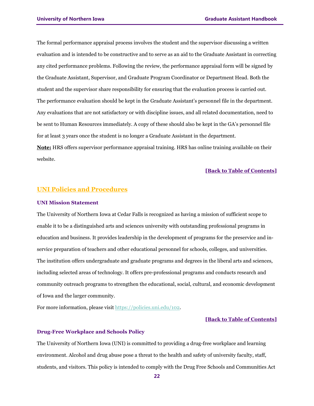The formal performance appraisal process involves the student and the supervisor discussing a written evaluation and is intended to be constructive and to serve as an aid to the Graduate Assistant in correcting any cited performance problems. Following the review, the performance appraisal form will be signed by the Graduate Assistant, Supervisor, and Graduate Program Coordinator or Department Head. Both the student and the supervisor share responsibility for ensuring that the evaluation process is carried out. The performance evaluation should be kept in the Graduate Assistant's personnel file in the department. Any evaluations that are not satisfactory or with discipline issues, and all related documentation, need to be sent to Human Resources immediately. A copy of these should also be kept in the GA's personnel file for at least 3 years once the student is no longer a Graduate Assistant in the department.

**Note:** HRS offers supervisor performance appraisal training. HRS has online training available on their website.

#### **[\[Back to Table of Contents\]](#page-1-0)**

### <span id="page-21-0"></span>**UNI Policies and Procedures**

#### <span id="page-21-1"></span>**UNI Mission Statement**

The University of Northern Iowa at Cedar Falls is recognized as having a mission of sufficient scope to enable it to be a distinguished arts and sciences university with outstanding professional programs in education and business. It provides leadership in the development of programs for the preservice and inservice preparation of teachers and other educational personnel for schools, colleges, and universities. The institution offers undergraduate and graduate programs and degrees in the liberal arts and sciences, including selected areas of technology. It offers pre-professional programs and conducts research and community outreach programs to strengthen the educational, social, cultural, and economic development of Iowa and the larger community.

For more information, please visi[t https://policies.uni.edu/102.](https://policies.uni.edu/102)

#### **[\[Back to Table of Contents\]](#page-1-0)**

#### <span id="page-21-2"></span>**Drug-Free Workplace and Schools Policy**

The University of Northern Iowa (UNI) is committed to providing a drug-free workplace and learning environment. Alcohol and drug abuse pose a threat to the health and safety of university faculty, staff, students, and visitors. This policy is intended to comply with the Drug Free Schools and Communities Act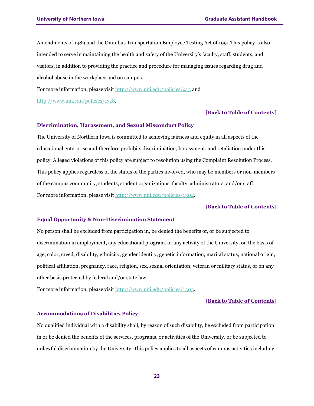Amendments of 1989 and the Omnibus Transportation Employee Testing Act of 1991.This policy is also intended to serve in maintaining the health and safety of the University's faculty, staff, students, and visitors, in addition to providing the practice and procedure for managing issues regarding drug and alcohol abuse in the workplace and on campus.

For more information, please visi[t http://www.uni.edu/policies/413](http://www.uni.edu/policies/413) and

[http://www.uni.edu/policies/1318.](http://www.uni.edu/policies/1318)

#### **[\[Back to Table of Contents\]](#page-1-0)**

#### <span id="page-22-0"></span>**Discrimination, Harassment, and Sexual Misconduct Policy**

The University of Northern Iowa is committed to achieving fairness and equity in all aspects of the educational enterprise and therefore prohibits discrimination, harassment, and retaliation under this policy. Alleged violations of this policy are subject to resolution using the Complaint Resolution Process. This policy applies regardless of the status of the parties involved, who may be members or non-members of the campus community, students, student organizations, faculty, administrators, and/or staff. For more information, please visi[t http://www.uni.edu/policies/1302.](http://www.uni.edu/policies/1302)

#### **[\[Back to Table of Contents\]](#page-1-0)**

#### <span id="page-22-1"></span>**Equal Opportunity & Non-Discrimination Statement**

No person shall be excluded from participation in, be denied the benefits of, or be subjected to discrimination in employment, any educational program, or any activity of the University, on the basis of age, color, creed, disability, ethnicity, gender identity, genetic information, marital status, national origin, political affiliation, pregnancy, race, religion, sex, sexual orientation, veteran or military status, or on any other basis protected by federal and/or state law.

For more information, please visi[t http://www.uni.edu/policies/1303.](http://www.uni.edu/policies/1303)

#### **[\[Back to Table of Contents\]](#page-1-0)**

#### <span id="page-22-2"></span>**Accommodations of Disabilities Policy**

No qualified individual with a disability shall, by reason of such disability, be excluded from participation in or be denied the benefits of the services, programs, or activities of the University, or be subjected to unlawful discrimination by the University. This policy applies to all aspects of campus activities including